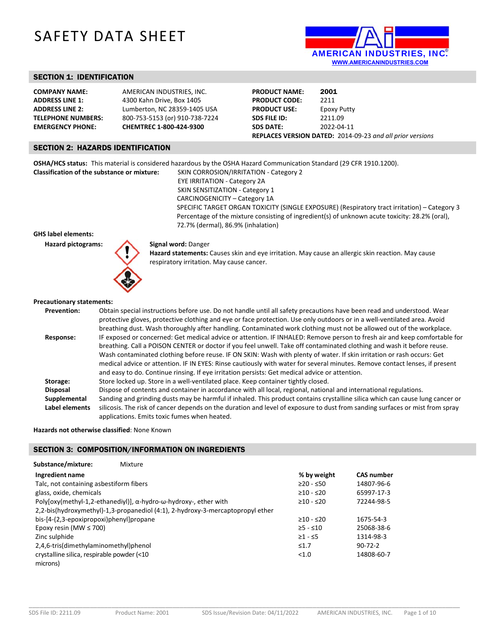# SAFETY DATA SHEET



### SECTION 1: IDENTIFICATION

| <b>COMPANY NAME:</b>      |
|---------------------------|
| <b>ADDRESS LINE 1:</b>    |
| <b>ADDRESS LINE 2:</b>    |
| <b>TELEPHONE NUMBERS:</b> |
| <b>EMERGENCY PHONE:</b>   |

### **AMERICAN INDUSTRIES, INC. ADDRESS LINE 1:** 4300 Kahn Drive, Box 1405 **ADDRESS LINE 2:** Lumberton, NC 28359‐1405 USA **TELEPHONE NUMBERS:** 800‐753‐5153 (or) 910‐738‐7224 **EMERGENCY PHONE: CHEMTREC 1‐800‐424‐9300**

**PRODUCT NAME:** 2001 **PRODUCT CODE:** 2211 PRODUCT USE: Epoxy Putty **SDS FILE ID:**  2211.09 **SDS DATE:**  2022‐04‐11 **REPLACES VERSION DATED:** 2014‐09‐23 *and all prior versions*

### SECTION 2: HAZARDS IDENTIFICATION

**OSHA/HCS status:** This material is considered hazardous by the OSHA Hazard Communication Standard (29 CFR 1910.1200).

**Classification of the substance or mixture:** SKIN CORROSION/IRRITATION ‐ Category 2 EYE IRRITATION ‐ Category 2A SKIN SENSITIZATION - Category 1 CARCINOGENICITY – Category 1A SPECIFIC TARGET ORGAN TOXICITY (SINGLE EXPOSURE) (Respiratory tract irritation) – Category 3 Percentage of the mixture consisting of ingredient(s) of unknown acute toxicity: 28.2% (oral), 72.7% (dermal), 86.9% (inhalation)

### **GHS label elements:**

Hazard pictograms: **Signal word: Danger** 



**Hazard statements:** Causes skin and eye irritation. May cause an allergic skin reaction. May cause respiratory irritation. May cause cancer.

#### **Precautionary statements:**

| <b>Prevention:</b> | Obtain special instructions before use. Do not handle until all safety precautions have been read and understood. Wear<br>protective gloves, protective clothing and eye or face protection. Use only outdoors or in a well-ventilated area. Avoid<br>breathing dust. Wash thoroughly after handling. Contaminated work clothing must not be allowed out of the workplace. |
|--------------------|----------------------------------------------------------------------------------------------------------------------------------------------------------------------------------------------------------------------------------------------------------------------------------------------------------------------------------------------------------------------------|
| Response:          | IF exposed or concerned: Get medical advice or attention. IF INHALED: Remove person to fresh air and keep comfortable for                                                                                                                                                                                                                                                  |
|                    | breathing. Call a POISON CENTER or doctor if you feel unwell. Take off contaminated clothing and wash it before reuse.                                                                                                                                                                                                                                                     |
|                    | Wash contaminated clothing before reuse. IF ON SKIN: Wash with plenty of water. If skin irritation or rash occurs: Get                                                                                                                                                                                                                                                     |
|                    | medical advice or attention. IF IN EYES: Rinse cautiously with water for several minutes. Remove contact lenses, if present                                                                                                                                                                                                                                                |
|                    | and easy to do. Continue rinsing. If eye irritation persists: Get medical advice or attention.                                                                                                                                                                                                                                                                             |
| Storage:           | Store locked up. Store in a well-ventilated place. Keep container tightly closed.                                                                                                                                                                                                                                                                                          |
| <b>Disposal</b>    | Dispose of contents and container in accordance with all local, regional, national and international regulations.                                                                                                                                                                                                                                                          |
| Supplemental       | Sanding and grinding dusts may be harmful if inhaled. This product contains crystalline silica which can cause lung cancer or                                                                                                                                                                                                                                              |
| Label elements     | silicosis. The risk of cancer depends on the duration and level of exposure to dust from sanding surfaces or mist from spray                                                                                                                                                                                                                                               |
|                    | applications. Emits toxic fumes when heated.                                                                                                                                                                                                                                                                                                                               |

### **Hazards not otherwise classified**: None Known

### SECTION 3: COMPOSITION/INFORMATION ON INGREDIENTS

| Substance/mixture:<br>Mixture                                                     |                       |                   |
|-----------------------------------------------------------------------------------|-----------------------|-------------------|
| Ingredient name                                                                   | % by weight           | <b>CAS</b> number |
| Talc, not containing asbestiform fibers                                           | $≥20 - ≤50$           | 14807-96-6        |
| glass, oxide, chemicals                                                           | $>10 - 520$           | 65997-17-3        |
| Poly[oxy(methyl-1,2-ethanediyl)], $\alpha$ -hydro- $\omega$ -hydroxy-, ether with | $\geq$ 10 - $\leq$ 20 | 72244-98-5        |
| 2,2-bis(hydroxymethyl)-1,3-propanediol (4:1), 2-hydroxy-3-mercaptopropyl ether    |                       |                   |
| bis-[4-(2,3-epoxipropoxi)phenyl]propane                                           | $>10 - 520$           | 1675-54-3         |
| Epoxy resin (MW $\leq$ 700)                                                       | $>5 - 10$             | 25068-38-6        |
| Zinc sulphide                                                                     | $≥1 - 55$             | 1314-98-3         |
| 2,4,6-tris(dimethylaminomethyl)phenol                                             | $\leq 1.7$            | $90 - 72 - 2$     |
| crystalline silica, respirable powder (<10                                        | < 1.0                 | 14808-60-7        |
| microns)                                                                          |                       |                   |

\_\_\_\_\_\_\_\_\_\_\_\_\_\_\_\_\_\_\_\_\_\_\_\_\_\_\_\_\_\_\_\_\_\_\_\_\_\_\_\_\_\_\_\_\_\_\_\_\_\_\_\_\_\_\_\_\_\_\_\_\_\_\_\_\_\_\_\_\_\_\_\_\_\_\_\_\_\_\_\_\_\_\_\_\_\_\_\_\_\_\_\_\_\_\_\_\_\_\_\_\_\_\_\_\_\_\_\_\_\_\_\_\_\_\_\_\_\_\_\_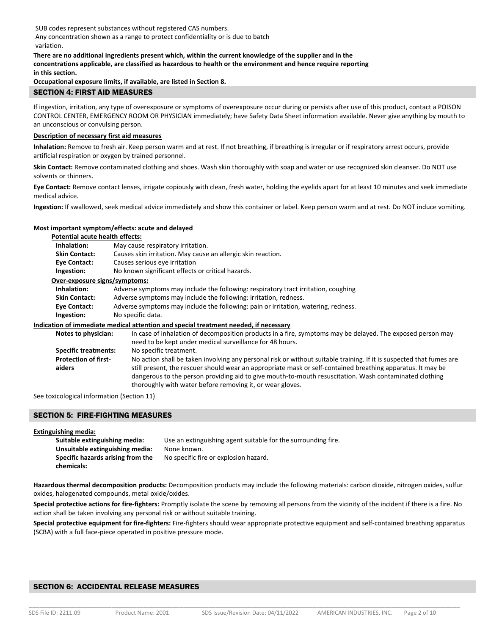SUB codes represent substances without registered CAS numbers. Any concentration shown as a range to protect confidentiality or is due to batch variation.

#### **There are no additional ingredients present which, within the current knowledge of the supplier and in the concentrations applicable, are classified as hazardous to health or the environment and hence require reporting in this section.**

**Occupational exposure limits, if available, are listed in Section 8.**

### SECTION 4: FIRST AID MEASURES

If ingestion, irritation, any type of overexposure or symptoms of overexposure occur during or persists after use of this product, contact a POISON CONTROL CENTER, EMERGENCY ROOM OR PHYSICIAN immediately; have Safety Data Sheet information available. Never give anything by mouth to an unconscious or convulsing person.

### **Description of necessary first aid measures**

**Inhalation:** Remove to fresh air. Keep person warm and at rest. If not breathing, if breathing is irregular or if respiratory arrest occurs, provide artificial respiration or oxygen by trained personnel.

**Skin Contact:** Remove contaminated clothing and shoes. Wash skin thoroughly with soap and water or use recognized skin cleanser. Do NOT use solvents or thinners.

**Eye Contact:** Remove contact lenses, irrigate copiously with clean, fresh water, holding the eyelids apart for at least 10 minutes and seek immediate medical advice.

**Ingestion:** If swallowed, seek medical advice immediately and show this container or label. Keep person warm and at rest. Do NOT induce vomiting.

### **Most important symptom/effects: acute and delayed**

| <b>Potential acute health effects:</b> |                                                                                                                      |  |  |  |  |
|----------------------------------------|----------------------------------------------------------------------------------------------------------------------|--|--|--|--|
| Inhalation:                            | May cause respiratory irritation.                                                                                    |  |  |  |  |
| <b>Skin Contact:</b>                   | Causes skin irritation. May cause an allergic skin reaction.                                                         |  |  |  |  |
| Eye Contact:                           | Causes serious eye irritation                                                                                        |  |  |  |  |
| Ingestion:                             | No known significant effects or critical hazards.                                                                    |  |  |  |  |
| Over-exposure signs/symptoms:          |                                                                                                                      |  |  |  |  |
| Inhalation:                            | Adverse symptoms may include the following: respiratory tract irritation, coughing                                   |  |  |  |  |
| <b>Skin Contact:</b>                   | Adverse symptoms may include the following: irritation, redness.                                                     |  |  |  |  |
| Eye Contact:                           | Adverse symptoms may include the following: pain or irritation, watering, redness.                                   |  |  |  |  |
| Ingestion:                             | No specific data.                                                                                                    |  |  |  |  |
|                                        | Indication of immediate medical attention and special treatment needed, if necessary                                 |  |  |  |  |
| Notes to physician:                    | In case of inhalation of decomposition products in a fire, symptoms may be delayed. The exposed person may           |  |  |  |  |
|                                        | need to be kept under medical surveillance for 48 hours.                                                             |  |  |  |  |
| <b>Specific treatments:</b>            | No specific treatment.                                                                                               |  |  |  |  |
| <b>Protection of first-</b>            | No action shall be taken involving any personal risk or without suitable training. If it is suspected that fumes are |  |  |  |  |
| aiders                                 | still present, the rescuer should wear an appropriate mask or self-contained breathing apparatus. It may be          |  |  |  |  |

dangerous to the person providing aid to give mouth-to-mouth resuscitation. Wash contaminated clothing

See toxicological information (Section 11)

### SECTION 5: FIRE-FIGHTING MEASURES

**Extinguishing media:** 

| Suitable extinguishing media:     | Use an extinguishing agent suitable for the surrounding fire. |
|-----------------------------------|---------------------------------------------------------------|
| Unsuitable extinguishing media:   | None known.                                                   |
| Specific hazards arising from the | No specific fire or explosion hazard.                         |
| chemicals:                        |                                                               |

thoroughly with water before removing it, or wear gloves.

**Hazardous thermal decomposition products:** Decomposition products may include the following materials: carbon dioxide, nitrogen oxides, sulfur oxides, halogenated compounds, metal oxide/oxides.

**Special protective actions for fire‐fighters:** Promptly isolate the scene by removing all persons from the vicinity of the incident if there is a fire. No action shall be taken involving any personal risk or without suitable training.

**Special protective equipment for fire‐fighters:** Fire‐fighters should wear appropriate protective equipment and self‐contained breathing apparatus (SCBA) with a full face‐piece operated in positive pressure mode.

### SECTION 6: ACCIDENTAL RELEASE MEASURES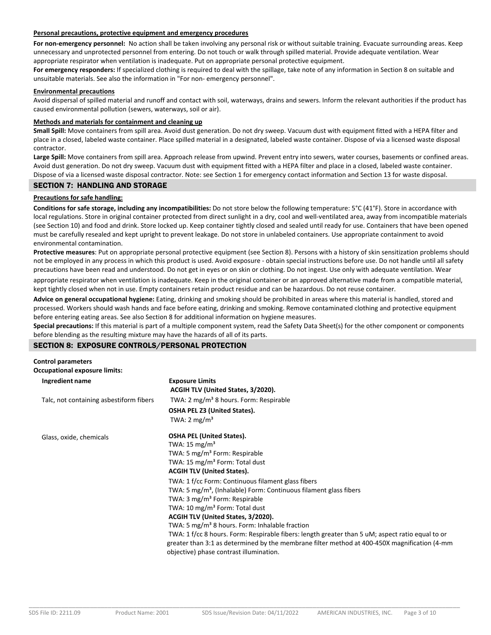### **Personal precautions, protective equipment and emergency procedures**

For non-emergency personnel: No action shall be taken involving any personal risk or without suitable training. Evacuate surrounding areas. Keep unnecessary and unprotected personnel from entering. Do not touch or walk through spilled material. Provide adequate ventilation. Wear appropriate respirator when ventilation is inadequate. Put on appropriate personal protective equipment.

**For emergency responders:** If specialized clothing is required to deal with the spillage, take note of any information in Section 8 on suitable and unsuitable materials. See also the information in "For non‐ emergency personnel".

### **Environmental precautions**

Avoid dispersal of spilled material and runoff and contact with soil, waterways, drains and sewers. Inform the relevant authorities if the product has caused environmental pollution (sewers, waterways, soil or air).

#### **Methods and materials for containment and cleaning up**

**Small Spill:** Move containers from spill area. Avoid dust generation. Do not dry sweep. Vacuum dust with equipment fitted with a HEPA filter and place in a closed, labeled waste container. Place spilled material in a designated, labeled waste container. Dispose of via a licensed waste disposal contractor.

**Large Spill:** Move containers from spill area. Approach release from upwind. Prevent entry into sewers, water courses, basements or confined areas. Avoid dust generation. Do not dry sweep. Vacuum dust with equipment fitted with a HEPA filter and place in a closed, labeled waste container. Dispose of via a licensed waste disposal contractor. Note: see Section 1 for emergency contact information and Section 13 for waste disposal.

### SECTION 7: HANDLING AND STORAGE

## **Precautions for safe handling:**

**Conditions for safe storage, including any incompatibilities:** Do not store below the following temperature: 5°C (41°F). Store in accordance with local regulations. Store in original container protected from direct sunlight in a dry, cool and well‐ventilated area, away from incompatible materials (see Section 10) and food and drink. Store locked up. Keep container tightly closed and sealed until ready for use. Containers that have been opened must be carefully resealed and kept upright to prevent leakage. Do not store in unlabeled containers. Use appropriate containment to avoid environmental contamination.

**Protective measures**: Put on appropriate personal protective equipment (see Section 8). Persons with a history of skin sensitization problems should not be employed in any process in which this product is used. Avoid exposure ‐ obtain special instructions before use. Do not handle until all safety precautions have been read and understood. Do not get in eyes or on skin or clothing. Do not ingest. Use only with adequate ventilation. Wear

appropriate respirator when ventilation is inadequate. Keep in the original container or an approved alternative made from a compatible material, kept tightly closed when not in use. Empty containers retain product residue and can be hazardous. Do not reuse container.

**Advice on general occupational hygiene:** Eating, drinking and smoking should be prohibited in areas where this material is handled, stored and processed. Workers should wash hands and face before eating, drinking and smoking. Remove contaminated clothing and protective equipment before entering eating areas. See also Section 8 for additional information on hygiene measures.

**Special precautions:** If this material is part of a multiple component system, read the Safety Data Sheet(s) for the other component or components before blending as the resulting mixture may have the hazards of all of its parts.

### SECTION 8: EXPOSURE CONTROLS/PERSONAL PROTECTION

| <b>Control parameters</b>               |                                                                                                  |  |  |  |
|-----------------------------------------|--------------------------------------------------------------------------------------------------|--|--|--|
| <b>Occupational exposure limits:</b>    |                                                                                                  |  |  |  |
| Ingredient name                         | <b>Exposure Limits</b>                                                                           |  |  |  |
|                                         | ACGIH TLV (United States, 3/2020).                                                               |  |  |  |
| Talc, not containing asbestiform fibers | TWA: 2 mg/m <sup>3</sup> 8 hours. Form: Respirable                                               |  |  |  |
|                                         | <b>OSHA PEL Z3 (United States).</b>                                                              |  |  |  |
|                                         | TWA: $2 \text{ mg/m}^3$                                                                          |  |  |  |
| Glass, oxide, chemicals                 | <b>OSHA PEL (United States).</b>                                                                 |  |  |  |
|                                         | TWA: 15 mg/m <sup>3</sup>                                                                        |  |  |  |
|                                         | TWA: 5 mg/m <sup>3</sup> Form: Respirable                                                        |  |  |  |
|                                         | TWA: 15 mg/m <sup>3</sup> Form: Total dust                                                       |  |  |  |
|                                         | <b>ACGIH TLV (United States).</b>                                                                |  |  |  |
|                                         | TWA: 1 f/cc Form: Continuous filament glass fibers                                               |  |  |  |
|                                         | TWA: 5 mg/m <sup>3</sup> , (Inhalable) Form: Continuous filament glass fibers                    |  |  |  |
|                                         | TWA: 3 mg/m <sup>3</sup> Form: Respirable                                                        |  |  |  |
|                                         | TWA: 10 mg/m <sup>3</sup> Form: Total dust                                                       |  |  |  |
|                                         | ACGIH TLV (United States, 3/2020).                                                               |  |  |  |
|                                         | TWA: 5 mg/m <sup>3</sup> 8 hours. Form: Inhalable fraction                                       |  |  |  |
|                                         | TWA: 1 f/cc 8 hours. Form: Respirable fibers: length greater than 5 uM; aspect ratio equal to or |  |  |  |
|                                         | greater than 3:1 as determined by the membrane filter method at 400-450X magnification (4-mm     |  |  |  |
|                                         | objective) phase contrast illumination.                                                          |  |  |  |

\_\_\_\_\_\_\_\_\_\_\_\_\_\_\_\_\_\_\_\_\_\_\_\_\_\_\_\_\_\_\_\_\_\_\_\_\_\_\_\_\_\_\_\_\_\_\_\_\_\_\_\_\_\_\_\_\_\_\_\_\_\_\_\_\_\_\_\_\_\_\_\_\_\_\_\_\_\_\_\_\_\_\_\_\_\_\_\_\_\_\_\_\_\_\_\_\_\_\_\_\_\_\_\_\_\_\_\_\_\_\_\_\_\_\_\_\_\_\_\_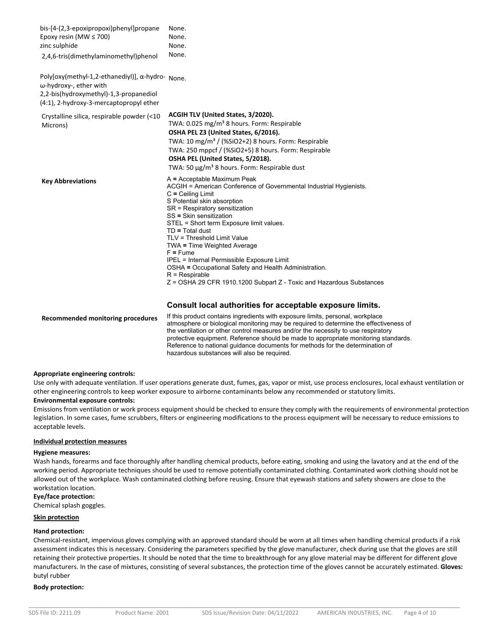| bis-[4-(2,3-epoxipropoxi)phenyl]propane<br>Epoxy resin (MW $\leq$ 700)<br>zinc sulphide                                                                         | None.<br>None.<br>None.                                                                                                                                                                                                                                                                                                                                                                                                                                                                                                                                                 |
|-----------------------------------------------------------------------------------------------------------------------------------------------------------------|-------------------------------------------------------------------------------------------------------------------------------------------------------------------------------------------------------------------------------------------------------------------------------------------------------------------------------------------------------------------------------------------------------------------------------------------------------------------------------------------------------------------------------------------------------------------------|
| 2,4,6-tris(dimethylaminomethyl)phenol                                                                                                                           | None.                                                                                                                                                                                                                                                                                                                                                                                                                                                                                                                                                                   |
| Poly[oxy(methyl-1,2-ethanediyl)], a-hydro- None.<br>ω-hydroxy-, ether with<br>2,2-bis(hydroxymethyl)-1,3-propanediol<br>(4:1), 2-hydroxy-3-mercaptopropyl ether |                                                                                                                                                                                                                                                                                                                                                                                                                                                                                                                                                                         |
| Crystalline silica, respirable powder (<10<br>Microns)                                                                                                          | ACGIH TLV (United States, 3/2020).<br>TWA: 0.025 mg/m <sup>3</sup> 8 hours. Form: Respirable<br>OSHA PEL Z3 (United States, 6/2016).<br>TWA: 10 mg/m <sup>3</sup> / (%SiO2+2) 8 hours. Form: Respirable<br>TWA: 250 mppcf / (%SiO2+5) 8 hours. Form: Respirable<br>OSHA PEL (United States, 5/2018).<br>TWA: 50 μg/m <sup>3</sup> 8 hours. Form: Respirable dust                                                                                                                                                                                                        |
| <b>Key Abbreviations</b>                                                                                                                                        | A = Acceptable Maximum Peak<br>ACGIH = American Conference of Governmental Industrial Hygienists.<br>$C = Ceiling Limit$<br>S Potential skin absorption<br>SR = Respiratory sensitization<br>SS = Skin sensitization<br>STEL = Short term Exposure limit values.<br>$TD = Total dust$<br>TLV = Threshold Limit Value<br>TWA = Time Weighted Average<br>$F = F$ ume<br>IPEL = Internal Permissible Exposure Limit<br>OSHA = Occupational Safety and Health Administration.<br>$R = Respirable$<br>$Z = OSHA 29 CFR 1910.1200 Subpart Z - Toxic and Hazardous Substances$ |

### **Consult local authorities for acceptable exposure limits.**

**Recommended monitoring procedures**  If this product contains ingredients with exposure limits, personal, workplace atmosphere or biological monitoring may be required to determine the effectiveness of the ventilation or other control measures and/or the necessity to use respiratory protective equipment. Reference should be made to appropriate monitoring standards. Reference to national guidance documents for methods for the determination of hazardous substances will also be required.

### **Appropriate engineering controls:**

Use only with adequate ventilation. If user operations generate dust, fumes, gas, vapor or mist, use process enclosures, local exhaust ventilation or other engineering controls to keep worker exposure to airborne contaminants below any recommended or statutory limits.

### **Environmental exposure controls:**

Emissions from ventilation or work process equipment should be checked to ensure they comply with the requirements of environmental protection legislation. In some cases, fume scrubbers, filters or engineering modifications to the process equipment will be necessary to reduce emissions to acceptable levels.

### **Individual protection measures**

### **Hygiene measures:**

Wash hands, forearms and face thoroughly after handling chemical products, before eating, smoking and using the lavatory and at the end of the working period. Appropriate techniques should be used to remove potentially contaminated clothing. Contaminated work clothing should not be allowed out of the workplace. Wash contaminated clothing before reusing. Ensure that eyewash stations and safety showers are close to the workstation location.

### **Eye/face protection:**

Chemical splash goggles.

### **Skin protection**

### **Hand protection:**

Chemical‐resistant, impervious gloves complying with an approved standard should be worn at all times when handling chemical products if a risk assessment indicates this is necessary. Considering the parameters specified by the glove manufacturer, check during use that the gloves are still retaining their protective properties. It should be noted that the time to breakthrough for any glove material may be different for different glove manufacturers. In the case of mixtures, consisting of several substances, the protection time of the gloves cannot be accurately estimated. **Gloves:**  butyl rubber

### **Body protection:**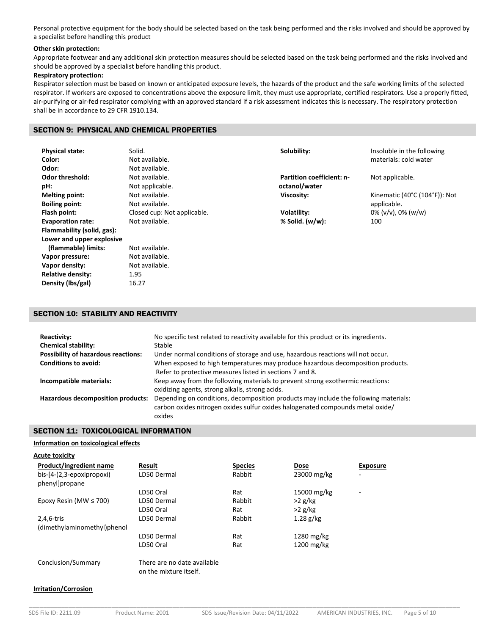Personal protective equipment for the body should be selected based on the task being performed and the risks involved and should be approved by a specialist before handling this product

### **Other skin protection:**

Appropriate footwear and any additional skin protection measures should be selected based on the task being performed and the risks involved and should be approved by a specialist before handling this product.

## **Respiratory protection:**

Respirator selection must be based on known or anticipated exposure levels, the hazards of the product and the safe working limits of the selected respirator. If workers are exposed to concentrations above the exposure limit, they must use appropriate, certified respirators. Use a properly fitted, air-purifying or air-fed respirator complying with an approved standard if a risk assessment indicates this is necessary. The respiratory protection shall be in accordance to 29 CFR 1910.134.

### SECTION 9: PHYSICAL AND CHEMICAL PROPERTIES

| <b>Physical state:</b>     | Solid.                      | Solubility:                      | Insoluble in the following                            |
|----------------------------|-----------------------------|----------------------------------|-------------------------------------------------------|
| Color:                     | Not available.              |                                  | materials: cold water                                 |
| Odor:                      | Not available.              |                                  |                                                       |
| <b>Odor threshold:</b>     | Not available.              | <b>Partition coefficient: n-</b> | Not applicable.                                       |
| pH:                        | Not applicable.             | octanol/water                    |                                                       |
| <b>Melting point:</b>      | Not available.              | Viscosity:                       | Kinematic $(40^{\circ}$ C $(104^{\circ}$ F $))$ : Not |
| <b>Boiling point:</b>      | Not available.              |                                  | applicable.                                           |
| Flash point:               | Closed cup: Not applicable. | Volatility:                      | $0\%$ (v/v), $0\%$ (w/w)                              |
| <b>Evaporation rate:</b>   | Not available.              | % Solid. $(w/w)$ :               | 100                                                   |
| Flammability (solid, gas): |                             |                                  |                                                       |
| Lower and upper explosive  |                             |                                  |                                                       |
| (flammable) limits:        | Not available.              |                                  |                                                       |
| Vapor pressure:            | Not available.              |                                  |                                                       |
| Vapor density:             | Not available.              |                                  |                                                       |
| <b>Relative density:</b>   | 1.95                        |                                  |                                                       |
| Density (lbs/gal)          | 16.27                       |                                  |                                                       |

### SECTION 10: STABILITY AND REACTIVITY

| Reactivity:<br><b>Chemical stability:</b><br><b>Possibility of hazardous reactions:</b><br><b>Conditions to avoid:</b> | No specific test related to reactivity available for this product or its ingredients.<br>Stable<br>Under normal conditions of storage and use, hazardous reactions will not occur.<br>When exposed to high temperatures may produce hazardous decomposition products.<br>Refer to protective measures listed in sections 7 and 8. |
|------------------------------------------------------------------------------------------------------------------------|-----------------------------------------------------------------------------------------------------------------------------------------------------------------------------------------------------------------------------------------------------------------------------------------------------------------------------------|
| Incompatible materials:                                                                                                | Keep away from the following materials to prevent strong exothermic reactions:<br>oxidizing agents, strong alkalis, strong acids.                                                                                                                                                                                                 |
| <b>Hazardous decomposition products:</b>                                                                               | Depending on conditions, decomposition products may include the following materials:<br>carbon oxides nitrogen oxides sulfur oxides halogenated compounds metal oxide/<br>oxides                                                                                                                                                  |

### SECTION 11: TOXICOLOGICAL INFORMATION

### **Information on toxicological effects**

| Acute toxicity |
|----------------|
|                |

| Product/ingredient name<br>$bis-[4-(2,3-epoxipropoxi)]$<br>phenyl]propane | Result<br>LD50 Dermal                                 | <b>Species</b><br>Rabbit | <b>Dose</b><br>23000 mg/kg | <b>Exposure</b><br>٠     |
|---------------------------------------------------------------------------|-------------------------------------------------------|--------------------------|----------------------------|--------------------------|
|                                                                           | LD50 Oral                                             | Rat                      | 15000 mg/kg                | $\overline{\phantom{a}}$ |
| Epoxy Resin (MW $\leq$ 700)                                               | LD50 Dermal                                           | Rabbit                   | $>2$ g/kg                  |                          |
|                                                                           | LD50 Oral                                             | Rat                      | $>2$ g/kg                  |                          |
| 2,4,6-tris                                                                | LD50 Dermal                                           | Rabbit                   | $1.28$ g/kg                |                          |
| (dimethylaminomethyl)phenol                                               |                                                       |                          |                            |                          |
|                                                                           | LD50 Dermal                                           | Rat                      | 1280 mg/kg                 |                          |
|                                                                           | LD50 Oral                                             | Rat                      | 1200 mg/kg                 |                          |
| Conclusion/Summary                                                        | There are no date available<br>on the mixture itself. |                          |                            |                          |

#### **Irritation/Corrosion**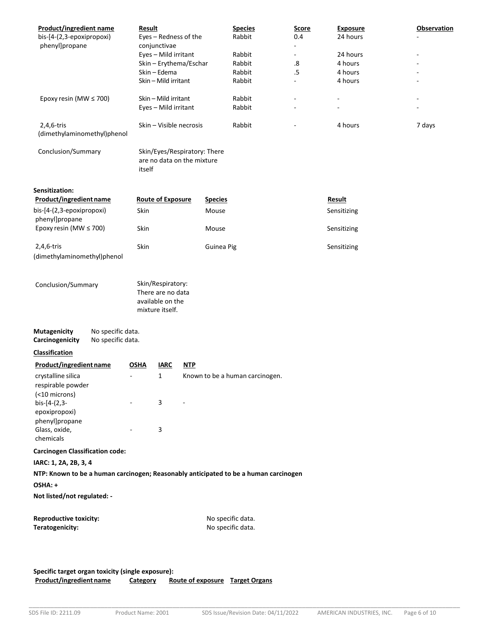| <b>Product/ingredient name</b>                                                                  | <b>Result</b>                                                                 |                          |            |                | <b>Species</b>                  | <u>Score</u> | <b>Exposure</b> | <b>Observation</b> |
|-------------------------------------------------------------------------------------------------|-------------------------------------------------------------------------------|--------------------------|------------|----------------|---------------------------------|--------------|-----------------|--------------------|
| bis-[4-(2,3-epoxipropoxi)                                                                       |                                                                               | Eyes - Redness of the    |            |                | Rabbit                          | 0.4          | 24 hours        |                    |
| phenyl]propane                                                                                  |                                                                               | conjunctivae             |            |                |                                 |              |                 |                    |
|                                                                                                 |                                                                               | Eyes - Mild irritant     |            |                | Rabbit                          |              | 24 hours        |                    |
|                                                                                                 |                                                                               | Skin - Erythema/Eschar   |            |                | Rabbit                          | .8           | 4 hours         |                    |
|                                                                                                 |                                                                               | Skin - Edema             |            |                | Rabbit                          | $.5\,$       | 4 hours         |                    |
|                                                                                                 |                                                                               | Skin - Mild irritant     |            |                | Rabbit                          |              | 4 hours         |                    |
| Epoxy resin (MW ≤ 700)                                                                          |                                                                               | Skin - Mild irritant     |            |                | Rabbit                          |              |                 |                    |
|                                                                                                 |                                                                               | Eyes - Mild irritant     |            |                | Rabbit                          |              |                 |                    |
| 2,4,6-tris<br>(dimethylaminomethyl)phenol                                                       | Skin - Visible necrosis                                                       |                          |            | Rabbit         |                                 | 4 hours      | 7 days          |                    |
| Conclusion/Summary                                                                              | Skin/Eyes/Respiratory: There<br>are no data on the mixture<br>itself          |                          |            |                |                                 |              |                 |                    |
| <b>Sensitization:</b>                                                                           |                                                                               |                          |            |                |                                 |              |                 |                    |
| Product/ingredient name                                                                         |                                                                               | <b>Route of Exposure</b> |            | <b>Species</b> |                                 |              | Result          |                    |
| bis-[4-(2,3-epoxipropoxi)<br>phenyl]propane                                                     | Skin                                                                          |                          |            | Mouse          |                                 |              | Sensitizing     |                    |
| Epoxy resin (MW ≤ 700)                                                                          | Skin                                                                          |                          |            | Mouse          |                                 |              | Sensitizing     |                    |
| 2,4,6-tris                                                                                      | Skin                                                                          |                          |            | Guinea Pig     |                                 |              | Sensitizing     |                    |
| (dimethylaminomethyl)phenol                                                                     |                                                                               |                          |            |                |                                 |              |                 |                    |
| Conclusion/Summary                                                                              | Skin/Respiratory:<br>There are no data<br>available on the<br>mixture itself. |                          |            |                |                                 |              |                 |                    |
| No specific data.<br><b>Mutagenicity</b><br>Carcinogenicity<br>No specific data.                |                                                                               |                          |            |                |                                 |              |                 |                    |
| <b>Classification</b>                                                                           |                                                                               |                          |            |                |                                 |              |                 |                    |
| Product/ingredient name                                                                         | <b>OSHA</b>                                                                   | <b>IARC</b>              | <b>NTP</b> |                |                                 |              |                 |                    |
| crystalline silica<br>respirable powder                                                         |                                                                               | $\mathbf{1}$             |            |                | Known to be a human carcinogen. |              |                 |                    |
| (<10 microns)                                                                                   |                                                                               |                          |            |                |                                 |              |                 |                    |
| bis-[4-(2,3-                                                                                    |                                                                               | 3                        |            |                |                                 |              |                 |                    |
| epoxipropoxi)                                                                                   |                                                                               |                          |            |                |                                 |              |                 |                    |
| phenyl]propane                                                                                  |                                                                               |                          |            |                |                                 |              |                 |                    |
| Glass, oxide,                                                                                   |                                                                               | 3                        |            |                |                                 |              |                 |                    |
| chemicals                                                                                       |                                                                               |                          |            |                |                                 |              |                 |                    |
| <b>Carcinogen Classification code:</b>                                                          |                                                                               |                          |            |                |                                 |              |                 |                    |
| IARC: 1, 2A, 2B, 3, 4                                                                           |                                                                               |                          |            |                |                                 |              |                 |                    |
| NTP: Known to be a human carcinogen; Reasonably anticipated to be a human carcinogen<br>OSHA: + |                                                                               |                          |            |                |                                 |              |                 |                    |
| Not listed/not regulated: -                                                                     |                                                                               |                          |            |                |                                 |              |                 |                    |
| <b>Reproductive toxicity:</b>                                                                   |                                                                               |                          |            |                | No specific data.               |              |                 |                    |
| Teratogenicity:                                                                                 |                                                                               |                          |            |                | No specific data.               |              |                 |                    |
|                                                                                                 |                                                                               |                          |            |                |                                 |              |                 |                    |
|                                                                                                 |                                                                               |                          |            |                |                                 |              |                 |                    |
|                                                                                                 |                                                                               |                          |            |                |                                 |              |                 |                    |

**Specific target organ toxicity (single exposure):**<br>**Product/ingredient name** Category Ro **Category Route of exposure Target Organs**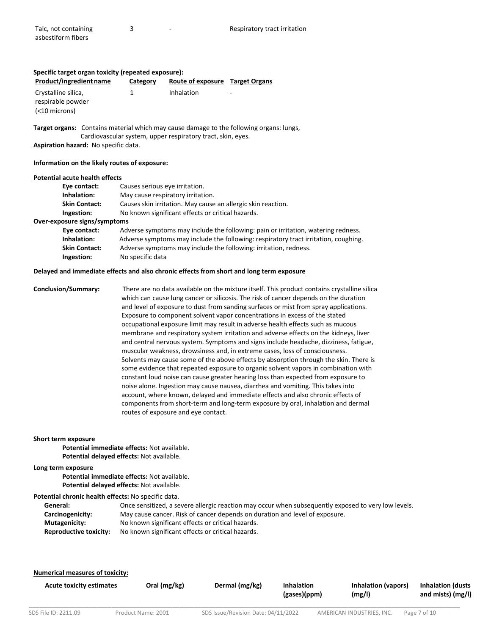### **Specific target organ toxicity (repeated exposure): Product/ingredient name Category Route of exposure Target Organs**  Crystalline silica, respirable powder (<10 microns) 1 **Inhalation** Target organs: Contains material which may cause damage to the following organs: lungs, Cardiovascular system, upper respiratory tract, skin, eyes.

**Aspiration hazard:** No specific data.

#### **Information on the likely routes of exposure:**

#### **Potential acute health effects**

| Eye contact:                 | Causes serious eye irritation.                                                      |  |
|------------------------------|-------------------------------------------------------------------------------------|--|
| Inhalation:                  | May cause respiratory irritation.                                                   |  |
| <b>Skin Contact:</b>         | Causes skin irritation. May cause an allergic skin reaction.                        |  |
| Ingestion:                   | No known significant effects or critical hazards.                                   |  |
| Over-exposure signs/symptoms |                                                                                     |  |
| Eye contact:                 | Adverse symptoms may include the following: pain or irritation, watering redness.   |  |
| Inhalation:                  | Adverse symptoms may include the following: respiratory tract irritation, coughing. |  |
| <b>Skin Contact:</b>         | Adverse symptoms may include the following: irritation, redness.                    |  |
| Ingestion:                   | No specific data                                                                    |  |
|                              |                                                                                     |  |

#### **Delayed and immediate effects and also chronic effects from short and long term exposure**

**Conclusion/Summary:** There are no data available on the mixture itself. This product contains crystalline silica which can cause lung cancer or silicosis. The risk of cancer depends on the duration and level of exposure to dust from sanding surfaces or mist from spray applications. Exposure to component solvent vapor concentrations in excess of the stated occupational exposure limit may result in adverse health effects such as mucous membrane and respiratory system irritation and adverse effects on the kidneys, liver and central nervous system. Symptoms and signs include headache, dizziness, fatigue, muscular weakness, drowsiness and, in extreme cases, loss of consciousness. Solvents may cause some of the above effects by absorption through the skin. There is some evidence that repeated exposure to organic solvent vapors in combination with constant loud noise can cause greater hearing loss than expected from exposure to noise alone. Ingestion may cause nausea, diarrhea and vomiting. This takes into account, where known, delayed and immediate effects and also chronic effects of components from short‐term and long‐term exposure by oral, inhalation and dermal routes of exposure and eye contact.

#### **Short term exposure**

 **Potential immediate effects:** Not available.  **Potential delayed effects:** Not available.

#### **Long term exposure**

 **Potential immediate effects:** Not available.  **Potential delayed effects:** Not available.

#### **Potential chronic health effects:** No specific data.

| General:                      | Once sensitized, a severe allergic reaction may occur when subsequently exposed to very low levels. |
|-------------------------------|-----------------------------------------------------------------------------------------------------|
| Carcinogenicity:              | May cause cancer. Risk of cancer depends on duration and level of exposure.                         |
| <b>Mutagenicity:</b>          | No known significant effects or critical hazards.                                                   |
| <b>Reproductive toxicity:</b> | No known significant effects or critical hazards.                                                   |

#### **Numerical measures of toxicity:**

|--|

\_\_\_\_\_\_\_\_\_\_\_\_\_\_\_\_\_\_\_\_\_\_\_\_\_\_\_\_\_\_\_\_\_\_\_\_\_\_\_\_\_\_\_\_\_\_\_\_\_\_\_\_\_\_\_\_\_\_\_\_\_\_\_\_\_\_\_\_\_\_\_\_\_\_\_\_\_\_\_\_\_\_\_\_\_\_\_\_\_\_\_\_\_\_\_\_\_\_\_\_\_\_\_\_\_\_\_\_\_\_\_\_\_\_\_\_\_\_\_\_

**Acute toxicity estimates Oral (mg/kg) Dermal (mg/kg) Inhalation (gases)(ppm)**  **Inhalation (vapors) (mg/l)** 

**Inhalation (dusts and mists) (mg/l)**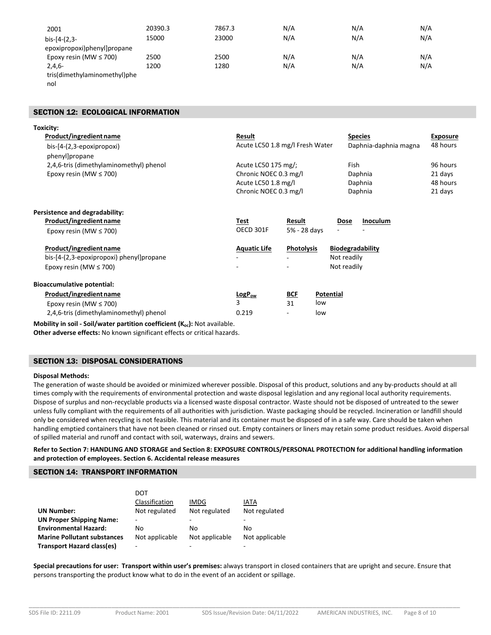| 2001                         | 20390.3 | 7867.3 | N/A | N/A | N/A |
|------------------------------|---------|--------|-----|-----|-----|
| $bis-[4-(2,3-$               | 15000   | 23000  | N/A | N/A | N/A |
| epoxipropoxi)phenyl]propane  |         |        |     |     |     |
| Epoxy resin (MW $\leq$ 700)  | 2500    | 2500   | N/A | N/A | N/A |
| $2,4,6-$                     | 1200    | 1280   | N/A | N/A | N/A |
| tris(dimethylaminomethyl)phe |         |        |     |     |     |

nol

### SECTION 12: ECOLOGICAL INFORMATION

| Toxicity:                                |                       |                                 |                         |                 |
|------------------------------------------|-----------------------|---------------------------------|-------------------------|-----------------|
| Product/ingredient name                  | Result                |                                 | <b>Species</b>          | <b>Exposure</b> |
| bis-[4-(2,3-epoxipropoxi)                |                       | Acute LC50 1.8 mg/l Fresh Water | Daphnia-daphnia magna   | 48 hours        |
| phenyl]propane                           |                       |                                 |                         |                 |
| 2,4,6-tris (dimethylaminomethyl) phenol  | Acute LC50 175 mg/;   |                                 | Fish                    | 96 hours        |
| Epoxy resin (MW $\leq$ 700)              | Chronic NOEC 0.3 mg/l |                                 | Daphnia                 | 21 days         |
|                                          | Acute LC50 1.8 mg/l   |                                 | Daphnia                 | 48 hours        |
|                                          | Chronic NOEC 0.3 mg/l |                                 | Daphnia                 | 21 days         |
| Persistence and degradability:           |                       |                                 |                         |                 |
| Product/ingredient name                  | Test                  | Result                          | <b>Inoculum</b><br>Dose |                 |
| Epoxy resin (MW $\leq$ 700)              | OECD 301F             | 5% - 28 days                    |                         |                 |
| Product/ingredient name                  | <b>Aquatic Life</b>   | <b>Photolysis</b>               | <b>Biodegradability</b> |                 |
| bis-[4-(2,3-epoxipropoxi) phenyl]propane |                       |                                 | Not readily             |                 |
| Epoxy resin (MW $\leq$ 700)              |                       |                                 | Not readily             |                 |
| <b>Bioaccumulative potential:</b>        |                       |                                 |                         |                 |
| Product/ingredient name                  | LogP <sub>ow</sub>    | <b>BCF</b><br>Potential         |                         |                 |
| Epoxy resin (MW $\leq$ 700)              | 3                     | 31<br>low                       |                         |                 |
| 2,4,6-tris (dimethylaminomethyl) phenol  | 0.219                 | low                             |                         |                 |

**Mobility in soil - Soil/water partition coefficient (K<sub>oc</sub>): Not available. Other adverse effects:** No known significant effects or critical hazards.

### SECTION 13: DISPOSAL CONSIDERATIONS

### **Disposal Methods:**

The generation of waste should be avoided or minimized wherever possible. Disposal of this product, solutions and any by‐products should at all times comply with the requirements of environmental protection and waste disposal legislation and any regional local authority requirements. Dispose of surplus and non‐recyclable products via a licensed waste disposal contractor. Waste should not be disposed of untreated to the sewer unless fully compliant with the requirements of all authorities with jurisdiction. Waste packaging should be recycled. Incineration or landfill should only be considered when recycling is not feasible. This material and its container must be disposed of in a safe way. Care should be taken when handling emptied containers that have not been cleaned or rinsed out. Empty containers or liners may retain some product residues. Avoid dispersal of spilled material and runoff and contact with soil, waterways, drains and sewers.

**Refer to Section 7: HANDLING AND STORAGE and Section 8: EXPOSURE CONTROLS/PERSONAL PROTECTION for additional handling information and protection of employees. Section 6. Accidental release measures** 

### SECTION 14: TRANSPORT INFORMATION

|                                    | DOT            |                |                |
|------------------------------------|----------------|----------------|----------------|
|                                    | Classification | <b>IMDG</b>    | IATA           |
| <b>UN Number:</b>                  | Not regulated  | Not regulated  | Not regulated  |
| <b>UN Proper Shipping Name:</b>    |                |                |                |
| <b>Environmental Hazard:</b>       | No             | No             | Nο             |
| <b>Marine Pollutant substances</b> | Not applicable | Not applicable | Not applicable |
| <b>Transport Hazard class(es)</b>  | -              |                | -              |

**Special precautions for user: Transport within user's premises:** always transport in closed containers that are upright and secure. Ensure that persons transporting the product know what to do in the event of an accident or spillage.

\_\_\_\_\_\_\_\_\_\_\_\_\_\_\_\_\_\_\_\_\_\_\_\_\_\_\_\_\_\_\_\_\_\_\_\_\_\_\_\_\_\_\_\_\_\_\_\_\_\_\_\_\_\_\_\_\_\_\_\_\_\_\_\_\_\_\_\_\_\_\_\_\_\_\_\_\_\_\_\_\_\_\_\_\_\_\_\_\_\_\_\_\_\_\_\_\_\_\_\_\_\_\_\_\_\_\_\_\_\_\_\_\_\_\_\_\_\_\_\_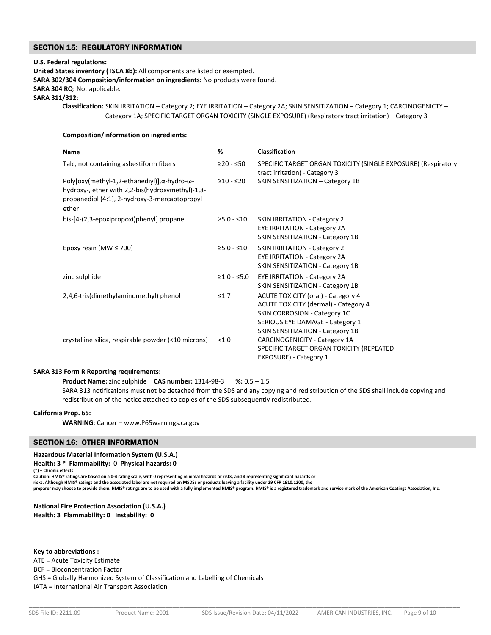### SECTION 15: REGULATORY INFORMATION

#### **U.S. Federal regulations:**

**United States inventory (TSCA 8b):** All components are listed or exempted.

**SARA 302/304 Composition/information on ingredients:** No products were found.

#### **SARA 304 RQ:** Not applicable.

**SARA 311/312:** 

 **Classification:** SKIN IRRITATION – Category 2; EYE IRRITATION – Category 2A; SKIN SENSITIZATION – Category 1; CARCINOGENICTY – Category 1A; SPECIFIC TARGET ORGAN TOXICITY (SINGLE EXPOSURE) (Respiratory tract irritation) – Category 3

### **Composition/information on ingredients:**

| Name                                                                                                                                                                        | $\frac{9}{6}$ | Classification                                                                                                                                                                           |  |
|-----------------------------------------------------------------------------------------------------------------------------------------------------------------------------|---------------|------------------------------------------------------------------------------------------------------------------------------------------------------------------------------------------|--|
| Talc, not containing asbestiform fibers                                                                                                                                     | ≥20 - ≤50     | SPECIFIC TARGET ORGAN TOXICITY (SINGLE EXPOSURE) (Respiratory<br>tract irritation) - Category 3                                                                                          |  |
| Poly[oxy(methyl-1,2-ethanediyl)], $\alpha$ -hydro- $\omega$ -<br>hydroxy-, ether with 2,2-bis(hydroxymethyl)-1,3-<br>propanediol (4:1), 2-hydroxy-3-mercaptopropyl<br>ether | $≥10 - ≤20$   | SKIN SENSITIZATION - Category 1B                                                                                                                                                         |  |
| bis-[4-(2,3-epoxipropoxi)phenyl] propane                                                                                                                                    | $≥5.0 - ≤10$  | <b>SKIN IRRITATION - Category 2</b><br><b>EYE IRRITATION - Category 2A</b><br>SKIN SENSITIZATION - Category 1B                                                                           |  |
| Epoxy resin (MW $\leq$ 700)                                                                                                                                                 | $≥5.0 - ≤10$  | <b>SKIN IRRITATION - Category 2</b><br><b>EYE IRRITATION - Category 2A</b><br>SKIN SENSITIZATION - Category 1B                                                                           |  |
| zinc sulphide                                                                                                                                                               | $≥1.0 - ≤5.0$ | <b>EYE IRRITATION - Category 2A</b><br>SKIN SENSITIZATION - Category 1B                                                                                                                  |  |
| 2,4,6-tris(dimethylaminomethyl) phenol                                                                                                                                      | $\leq 1.7$    | ACUTE TOXICITY (oral) - Category 4<br><b>ACUTE TOXICITY (dermal) - Category 4</b><br>SKIN CORROSION - Category 1C<br>SERIOUS EYE DAMAGE - Category 1<br>SKIN SENSITIZATION - Category 1B |  |
| crystalline silica, respirable powder (<10 microns)                                                                                                                         | < 1.0         | CARCINOGENICITY - Category 1A<br>SPECIFIC TARGET ORGAN TOXICITY (REPEATED<br>EXPOSURE) - Category 1                                                                                      |  |

### **SARA 313 Form R Reporting requirements:**

 **Product Name:** zinc sulphide **CAS number:** 1314‐98‐3 **%:** 0.5 – 1.5 SARA 313 notifications must not be detached from the SDS and any copying and redistribution of the SDS shall include copying and redistribution of the notice attached to copies of the SDS subsequently redistributed.

### **California Prop. 65:**

 **WARNING**: Cancer – www.P65warnings.ca.gov

### SECTION 16: OTHER INFORMATION

### **Hazardous Material Information System (U.S.A.)**

**Health: 3 \* Flammability:** 0 **Physical hazards: 0** 

```
(*) – Chronic effects
```
**Caution: HMIS® ratings are based on a 0‐4 rating scale, with 0 representing minimal hazards or risks, and 4 representing significant hazards or** 

**risks. Although HMIS® ratings and the associated label are not required on MSDSs or products leaving a facility under 29 CFR 1910.1200, the** 

**preparer may choose to provide them. HMIS® ratings are to be used with a fully implemented HMIS® program. HMIS® is a registered trademark and service mark of the American Coatings Association, Inc.**

**National Fire Protection Association (U.S.A.) Health: 3 Flammability: 0 Instability: 0** 

**Key to abbreviations :** 

ATE = Acute Toxicity Estimate

BCF = Bioconcentration Factor

GHS = Globally Harmonized System of Classification and Labelling of Chemicals

IATA = International Air Transport Association